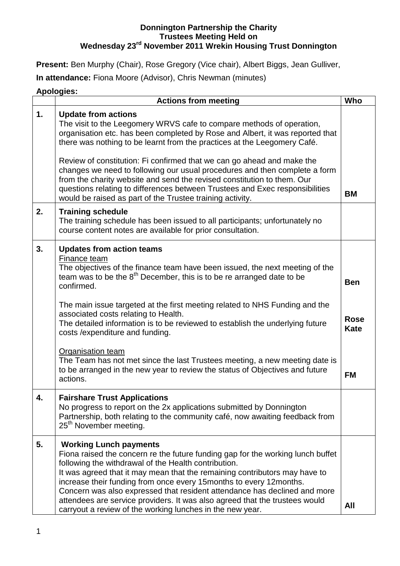## **Donnington Partnership the Charity Trustees Meeting Held on Wednesday 23rd November 2011 Wrekin Housing Trust Donnington**

**Present:** Ben Murphy (Chair), Rose Gregory (Vice chair), Albert Biggs, Jean Gulliver,

**In attendance:** Fiona Moore (Advisor), Chris Newman (minutes)

## **Apologies:**

|    | <b>Actions from meeting</b>                                                                                                                                                                                                                                                                                                                                                                                                                                                                                                                                                         |                                          |  |  |  |
|----|-------------------------------------------------------------------------------------------------------------------------------------------------------------------------------------------------------------------------------------------------------------------------------------------------------------------------------------------------------------------------------------------------------------------------------------------------------------------------------------------------------------------------------------------------------------------------------------|------------------------------------------|--|--|--|
| 1. | <b>Update from actions</b><br>The visit to the Leegomery WRVS cafe to compare methods of operation,<br>organisation etc. has been completed by Rose and Albert, it was reported that<br>there was nothing to be learnt from the practices at the Leegomery Café.                                                                                                                                                                                                                                                                                                                    |                                          |  |  |  |
|    | Review of constitution: Fi confirmed that we can go ahead and make the<br>changes we need to following our usual procedures and then complete a form<br>from the charity website and send the revised constitution to them. Our<br>questions relating to differences between Trustees and Exec responsibilities<br>would be raised as part of the Trustee training activity.                                                                                                                                                                                                        | <b>BM</b>                                |  |  |  |
| 2. | <b>Training schedule</b><br>The training schedule has been issued to all participants; unfortunately no<br>course content notes are available for prior consultation.                                                                                                                                                                                                                                                                                                                                                                                                               |                                          |  |  |  |
| 3. | <b>Updates from action teams</b><br>Finance team<br>The objectives of the finance team have been issued, the next meeting of the<br>team was to be the 8 <sup>th</sup> December, this is to be re arranged date to be<br>confirmed.<br>The main issue targeted at the first meeting related to NHS Funding and the<br>associated costs relating to Health.<br>The detailed information is to be reviewed to establish the underlying future<br>costs / expenditure and funding.<br>Organisation team<br>The Team has not met since the last Trustees meeting, a new meeting date is | <b>Ben</b><br><b>Rose</b><br><b>Kate</b> |  |  |  |
|    | to be arranged in the new year to review the status of Objectives and future<br>actions.                                                                                                                                                                                                                                                                                                                                                                                                                                                                                            | <b>FM</b>                                |  |  |  |
|    | <b>Fairshare Trust Applications</b><br>No progress to report on the 2x applications submitted by Donnington<br>Partnership, both relating to the community café, now awaiting feedback from<br>25 <sup>th</sup> November meeting.                                                                                                                                                                                                                                                                                                                                                   |                                          |  |  |  |
| 5. | <b>Working Lunch payments</b><br>Fiona raised the concern re the future funding gap for the working lunch buffet<br>following the withdrawal of the Health contribution.<br>It was agreed that it may mean that the remaining contributors may have to<br>increase their funding from once every 15 months to every 12 months.<br>Concern was also expressed that resident attendance has declined and more<br>attendees are service providers. It was also agreed that the trustees would<br>carryout a review of the working lunches in the new year.                             | All                                      |  |  |  |